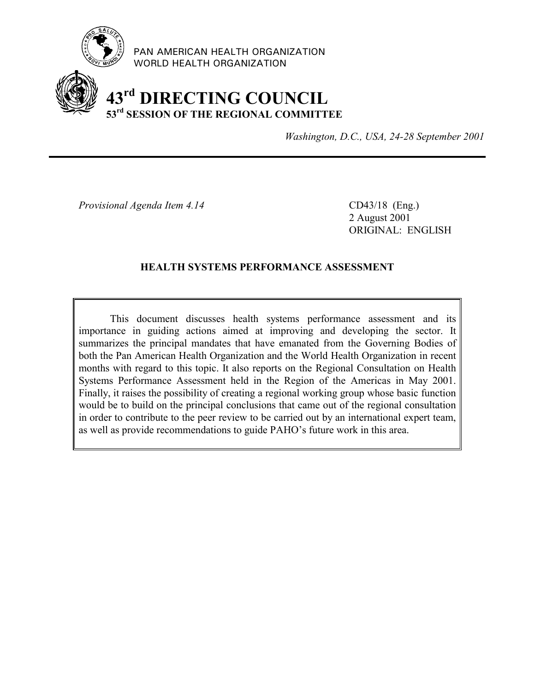

PAN AMERICAN HEALTH ORGANIZATION WORLD HEALTH ORGANIZATION

# **43rd DIRECTING COUNCIL 53rd SESSION OF THE REGIONAL COMMITTEE**

*Washington, D.C., USA, 24-28 September 2001*

*Provisional Agenda Item 4.14* CD43/18 (Eng.)

2 August 2001 ORIGINAL: ENGLISH

# **HEALTH SYSTEMS PERFORMANCE ASSESSMENT**

This document discusses health systems performance assessment and its importance in guiding actions aimed at improving and developing the sector. It summarizes the principal mandates that have emanated from the Governing Bodies of both the Pan American Health Organization and the World Health Organization in recent months with regard to this topic. It also reports on the Regional Consultation on Health Systems Performance Assessment held in the Region of the Americas in May 2001. Finally, it raises the possibility of creating a regional working group whose basic function would be to build on the principal conclusions that came out of the regional consultation in order to contribute to the peer review to be carried out by an international expert team, as well as provide recommendations to guide PAHO's future work in this area.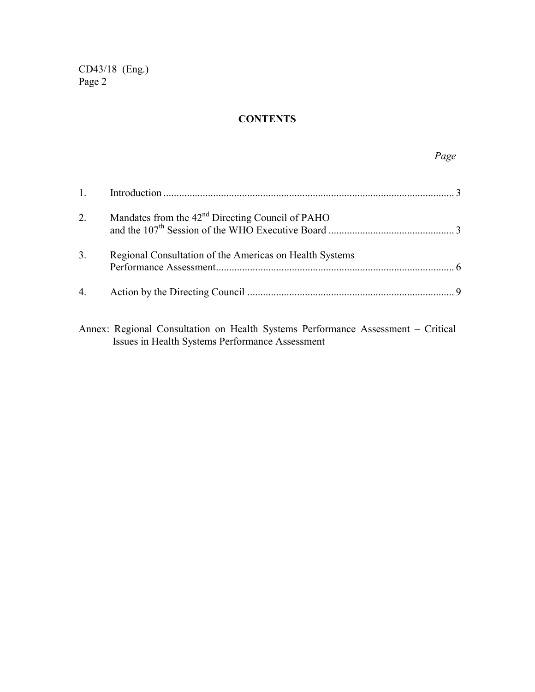CD43/18 (Eng.) Page 2

# **CONTENTS**

|    |                                                                                  | Page |
|----|----------------------------------------------------------------------------------|------|
| 1. |                                                                                  |      |
| 2. | Mandates from the $42nd$ Directing Council of PAHO                               |      |
| 3. | Regional Consultation of the Americas on Health Systems                          |      |
| 4. |                                                                                  |      |
|    | Annex: Regional Consultation on Health Systems Performance Assessment – Critical |      |

Issues in Health Systems Performance Assessment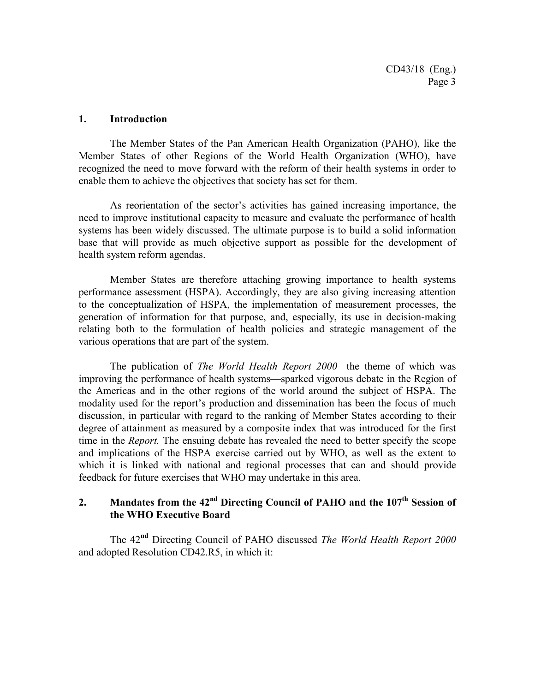#### **1. Introduction**

The Member States of the Pan American Health Organization (PAHO), like the Member States of other Regions of the World Health Organization (WHO), have recognized the need to move forward with the reform of their health systems in order to enable them to achieve the objectives that society has set for them.

As reorientation of the sector's activities has gained increasing importance, the need to improve institutional capacity to measure and evaluate the performance of health systems has been widely discussed. The ultimate purpose is to build a solid information base that will provide as much objective support as possible for the development of health system reform agendas.

Member States are therefore attaching growing importance to health systems performance assessment (HSPA). Accordingly, they are also giving increasing attention to the conceptualization of HSPA, the implementation of measurement processes, the generation of information for that purpose, and, especially, its use in decision-making relating both to the formulation of health policies and strategic management of the various operations that are part of the system.

The publication of *The World Health Report 2000—*the theme of which was improving the performance of health systems—sparked vigorous debate in the Region of the Americas and in the other regions of the world around the subject of HSPA. The modality used for the report's production and dissemination has been the focus of much discussion, in particular with regard to the ranking of Member States according to their degree of attainment as measured by a composite index that was introduced for the first time in the *Report.* The ensuing debate has revealed the need to better specify the scope and implications of the HSPA exercise carried out by WHO, as well as the extent to which it is linked with national and regional processes that can and should provide feedback for future exercises that WHO may undertake in this area.

# 2. Mandates from the 42<sup>nd</sup> Directing Council of PAHO and the 107<sup>th</sup> Session of **the WHO Executive Board**

The 42**nd** Directing Council of PAHO discussed *The World Health Report 2000* and adopted Resolution CD42.R5, in which it: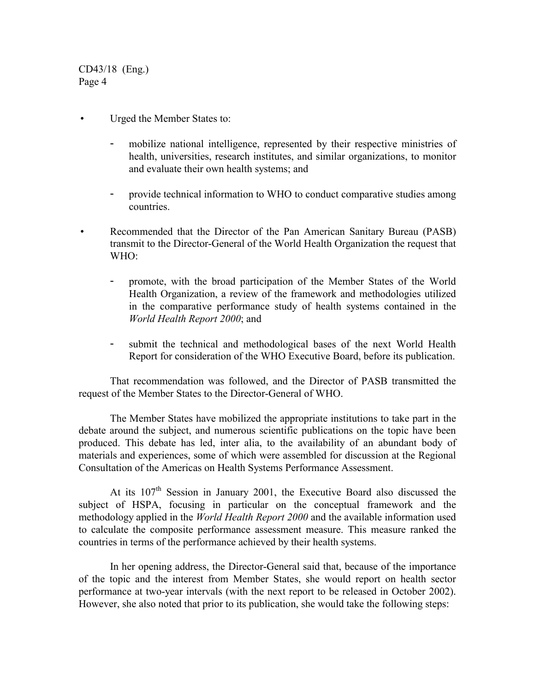CD43/18 (Eng.) Page 4

- Urged the Member States to:
	- mobilize national intelligence, represented by their respective ministries of health, universities, research institutes, and similar organizations, to monitor and evaluate their own health systems; and
	- provide technical information to WHO to conduct comparative studies among countries.
- Recommended that the Director of the Pan American Sanitary Bureau (PASB) transmit to the Director-General of the World Health Organization the request that WHO:
	- promote, with the broad participation of the Member States of the World Health Organization, a review of the framework and methodologies utilized in the comparative performance study of health systems contained in the *World Health Report 2000*; and
	- submit the technical and methodological bases of the next World Health Report for consideration of the WHO Executive Board, before its publication.

That recommendation was followed, and the Director of PASB transmitted the request of the Member States to the Director-General of WHO.

The Member States have mobilized the appropriate institutions to take part in the debate around the subject, and numerous scientific publications on the topic have been produced. This debate has led, inter alia, to the availability of an abundant body of materials and experiences, some of which were assembled for discussion at the Regional Consultation of the Americas on Health Systems Performance Assessment.

At its  $107<sup>th</sup>$  Session in January 2001, the Executive Board also discussed the subject of HSPA, focusing in particular on the conceptual framework and the methodology applied in the *World Health Report 2000* and the available information used to calculate the composite performance assessment measure. This measure ranked the countries in terms of the performance achieved by their health systems.

In her opening address, the Director-General said that, because of the importance of the topic and the interest from Member States, she would report on health sector performance at two-year intervals (with the next report to be released in October 2002). However, she also noted that prior to its publication, she would take the following steps: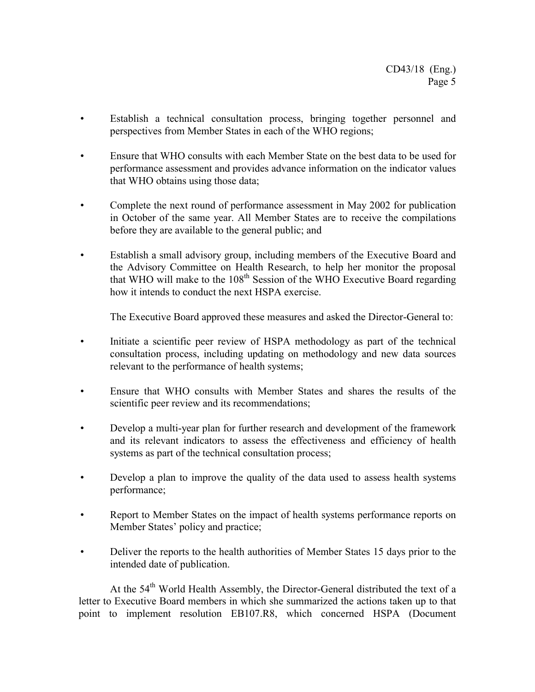- Establish a technical consultation process, bringing together personnel and perspectives from Member States in each of the WHO regions;
- Ensure that WHO consults with each Member State on the best data to be used for performance assessment and provides advance information on the indicator values that WHO obtains using those data;
- Complete the next round of performance assessment in May 2002 for publication in October of the same year. All Member States are to receive the compilations before they are available to the general public; and
- Establish a small advisory group, including members of the Executive Board and the Advisory Committee on Health Research, to help her monitor the proposal that WHO will make to the  $108<sup>th</sup>$  Session of the WHO Executive Board regarding how it intends to conduct the next HSPA exercise.

The Executive Board approved these measures and asked the Director-General to:

- Initiate a scientific peer review of HSPA methodology as part of the technical consultation process, including updating on methodology and new data sources relevant to the performance of health systems;
- Ensure that WHO consults with Member States and shares the results of the scientific peer review and its recommendations;
- Develop a multi-year plan for further research and development of the framework and its relevant indicators to assess the effectiveness and efficiency of health systems as part of the technical consultation process;
- Develop a plan to improve the quality of the data used to assess health systems performance;
- Report to Member States on the impact of health systems performance reports on Member States' policy and practice;
- Deliver the reports to the health authorities of Member States 15 days prior to the intended date of publication.

At the 54<sup>th</sup> World Health Assembly, the Director-General distributed the text of a letter to Executive Board members in which she summarized the actions taken up to that point to implement resolution EB107.R8, which concerned HSPA (Document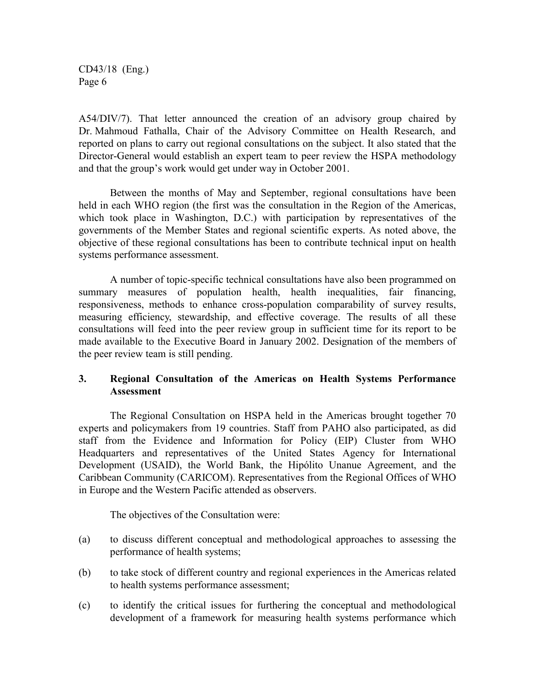CD43/18 (Eng.) Page 6

A54/DIV/7). That letter announced the creation of an advisory group chaired by Dr. Mahmoud Fathalla, Chair of the Advisory Committee on Health Research, and reported on plans to carry out regional consultations on the subject. It also stated that the Director-General would establish an expert team to peer review the HSPA methodology and that the group's work would get under way in October 2001.

Between the months of May and September, regional consultations have been held in each WHO region (the first was the consultation in the Region of the Americas, which took place in Washington, D.C.) with participation by representatives of the governments of the Member States and regional scientific experts. As noted above, the objective of these regional consultations has been to contribute technical input on health systems performance assessment.

A number of topic-specific technical consultations have also been programmed on summary measures of population health, health inequalities, fair financing, responsiveness, methods to enhance cross-population comparability of survey results, measuring efficiency, stewardship, and effective coverage. The results of all these consultations will feed into the peer review group in sufficient time for its report to be made available to the Executive Board in January 2002. Designation of the members of the peer review team is still pending.

# **3. Regional Consultation of the Americas on Health Systems Performance Assessment**

The Regional Consultation on HSPA held in the Americas brought together 70 experts and policymakers from 19 countries. Staff from PAHO also participated, as did staff from the Evidence and Information for Policy (EIP) Cluster from WHO Headquarters and representatives of the United States Agency for International Development (USAID), the World Bank, the Hipólito Unanue Agreement, and the Caribbean Community (CARICOM). Representatives from the Regional Offices of WHO in Europe and the Western Pacific attended as observers.

The objectives of the Consultation were:

- (a) to discuss different conceptual and methodological approaches to assessing the performance of health systems;
- (b) to take stock of different country and regional experiences in the Americas related to health systems performance assessment;
- (c) to identify the critical issues for furthering the conceptual and methodological development of a framework for measuring health systems performance which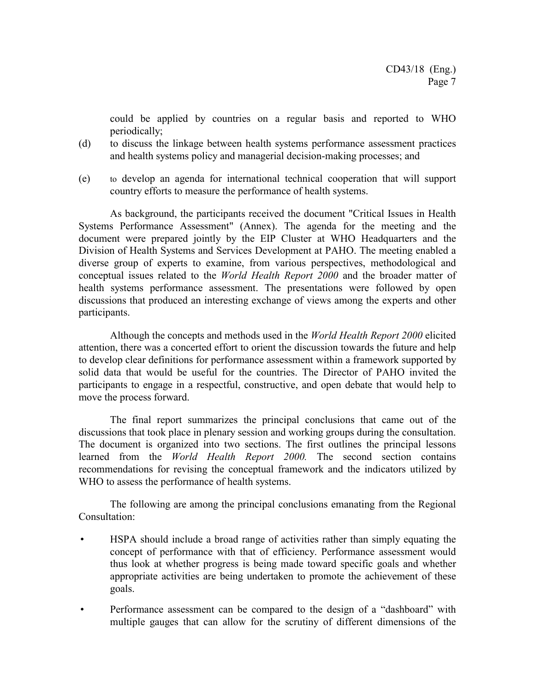could be applied by countries on a regular basis and reported to WHO periodically;

- (d) to discuss the linkage between health systems performance assessment practices and health systems policy and managerial decision-making processes; and
- (e) to develop an agenda for international technical cooperation that will support country efforts to measure the performance of health systems.

As background, the participants received the document "Critical Issues in Health Systems Performance Assessment" (Annex). The agenda for the meeting and the document were prepared jointly by the EIP Cluster at WHO Headquarters and the Division of Health Systems and Services Development at PAHO. The meeting enabled a diverse group of experts to examine, from various perspectives, methodological and conceptual issues related to the *World Health Report 2000* and the broader matter of health systems performance assessment. The presentations were followed by open discussions that produced an interesting exchange of views among the experts and other participants.

Although the concepts and methods used in the *World Health Report 2000* elicited attention, there was a concerted effort to orient the discussion towards the future and help to develop clear definitions for performance assessment within a framework supported by solid data that would be useful for the countries. The Director of PAHO invited the participants to engage in a respectful, constructive, and open debate that would help to move the process forward.

The final report summarizes the principal conclusions that came out of the discussions that took place in plenary session and working groups during the consultation. The document is organized into two sections. The first outlines the principal lessons learned from the *World Health Report 2000.* The second section contains recommendations for revising the conceptual framework and the indicators utilized by WHO to assess the performance of health systems.

The following are among the principal conclusions emanating from the Regional Consultation:

- HSPA should include a broad range of activities rather than simply equating the concept of performance with that of efficiency. Performance assessment would thus look at whether progress is being made toward specific goals and whether appropriate activities are being undertaken to promote the achievement of these goals.
- Performance assessment can be compared to the design of a "dashboard" with multiple gauges that can allow for the scrutiny of different dimensions of the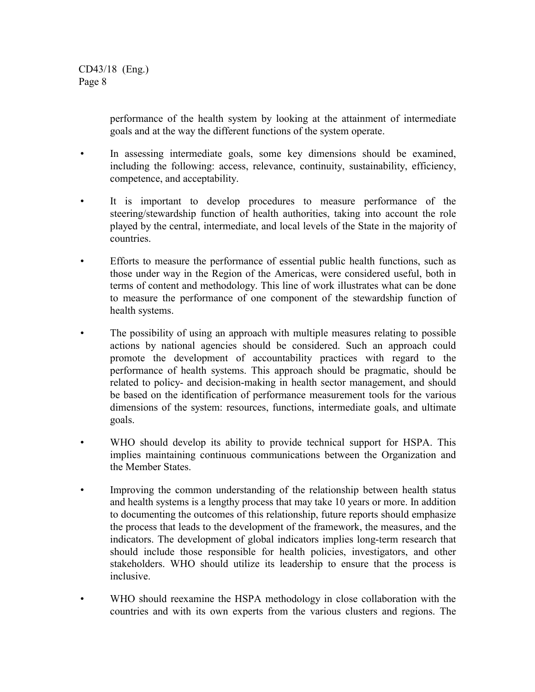CD43/18 (Eng.) Page 8

> performance of the health system by looking at the attainment of intermediate goals and at the way the different functions of the system operate.

- In assessing intermediate goals, some key dimensions should be examined, including the following: access, relevance, continuity, sustainability, efficiency, competence, and acceptability.
- It is important to develop procedures to measure performance of the steering/stewardship function of health authorities, taking into account the role played by the central, intermediate, and local levels of the State in the majority of countries.
- Efforts to measure the performance of essential public health functions, such as those under way in the Region of the Americas, were considered useful, both in terms of content and methodology. This line of work illustrates what can be done to measure the performance of one component of the stewardship function of health systems.
- The possibility of using an approach with multiple measures relating to possible actions by national agencies should be considered. Such an approach could promote the development of accountability practices with regard to the performance of health systems. This approach should be pragmatic, should be related to policy- and decision-making in health sector management, and should be based on the identification of performance measurement tools for the various dimensions of the system: resources, functions, intermediate goals, and ultimate goals.
- WHO should develop its ability to provide technical support for HSPA. This implies maintaining continuous communications between the Organization and the Member States.
- Improving the common understanding of the relationship between health status and health systems is a lengthy process that may take 10 years or more. In addition to documenting the outcomes of this relationship, future reports should emphasize the process that leads to the development of the framework, the measures, and the indicators. The development of global indicators implies long-term research that should include those responsible for health policies, investigators, and other stakeholders. WHO should utilize its leadership to ensure that the process is inclusive.
- WHO should reexamine the HSPA methodology in close collaboration with the countries and with its own experts from the various clusters and regions. The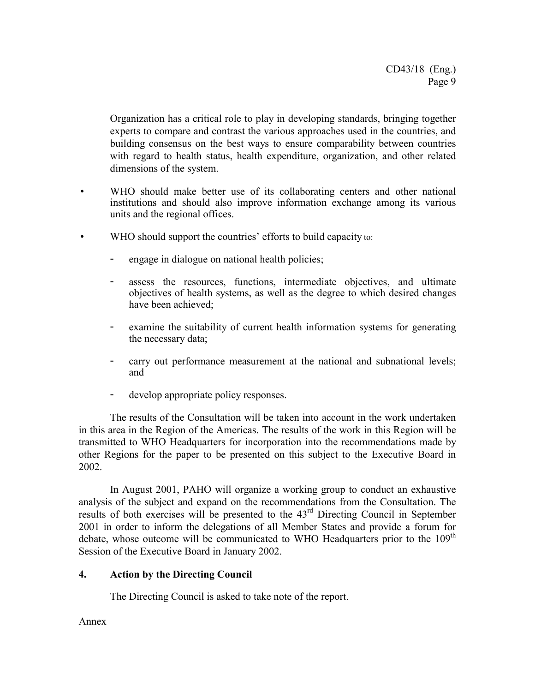Organization has a critical role to play in developing standards, bringing together experts to compare and contrast the various approaches used in the countries, and building consensus on the best ways to ensure comparability between countries with regard to health status, health expenditure, organization, and other related dimensions of the system.

- WHO should make better use of its collaborating centers and other national institutions and should also improve information exchange among its various units and the regional offices.
- WHO should support the countries' efforts to build capacity to:
	- engage in dialogue on national health policies;
	- assess the resources, functions, intermediate objectives, and ultimate objectives of health systems, as well as the degree to which desired changes have been achieved;
	- examine the suitability of current health information systems for generating the necessary data;
	- carry out performance measurement at the national and subnational levels; and
	- develop appropriate policy responses.

The results of the Consultation will be taken into account in the work undertaken in this area in the Region of the Americas. The results of the work in this Region will be transmitted to WHO Headquarters for incorporation into the recommendations made by other Regions for the paper to be presented on this subject to the Executive Board in 2002.

In August 2001, PAHO will organize a working group to conduct an exhaustive analysis of the subject and expand on the recommendations from the Consultation. The results of both exercises will be presented to the 43rd Directing Council in September 2001 in order to inform the delegations of all Member States and provide a forum for debate, whose outcome will be communicated to WHO Headquarters prior to the 109<sup>th</sup> Session of the Executive Board in January 2002.

#### **4. Action by the Directing Council**

The Directing Council is asked to take note of the report.

Annex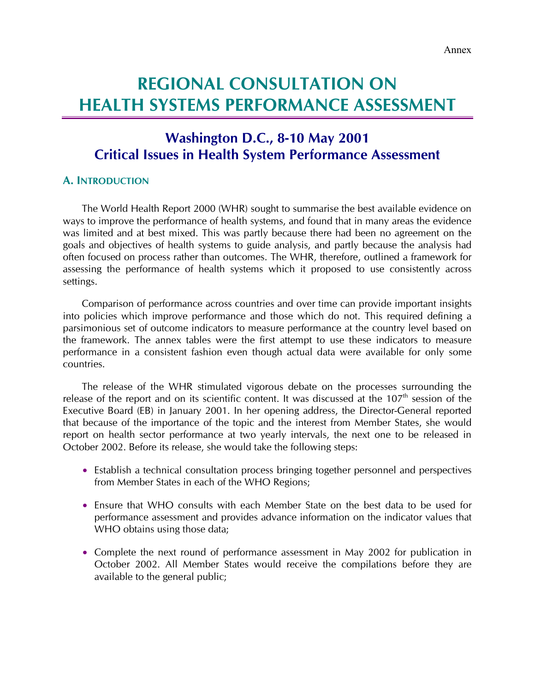# **REGIONAL CONSULTATION ON HEALTH SYSTEMS PERFORMANCE ASSESSMENT**

# **Washington D.C., 8-10 May 2001 Critical Issues in Health System Performance Assessment**

# **A. INTRODUCTION**

The World Health Report 2000 (WHR) sought to summarise the best available evidence on ways to improve the performance of health systems, and found that in many areas the evidence was limited and at best mixed. This was partly because there had been no agreement on the goals and objectives of health systems to guide analysis, and partly because the analysis had often focused on process rather than outcomes. The WHR, therefore, outlined a framework for assessing the performance of health systems which it proposed to use consistently across settings.

Comparison of performance across countries and over time can provide important insights into policies which improve performance and those which do not. This required defining a parsimonious set of outcome indicators to measure performance at the country level based on the framework. The annex tables were the first attempt to use these indicators to measure performance in a consistent fashion even though actual data were available for only some countries.

The release of the WHR stimulated vigorous debate on the processes surrounding the release of the report and on its scientific content. It was discussed at the  $107<sup>th</sup>$  session of the Executive Board (EB) in January 2001. In her opening address, the Director-General reported that because of the importance of the topic and the interest from Member States, she would report on health sector performance at two yearly intervals, the next one to be released in October 2002. Before its release, she would take the following steps:

- Establish a technical consultation process bringing together personnel and perspectives from Member States in each of the WHO Regions;
- Ensure that WHO consults with each Member State on the best data to be used for performance assessment and provides advance information on the indicator values that WHO obtains using those data;
- Complete the next round of performance assessment in May 2002 for publication in October 2002. All Member States would receive the compilations before they are available to the general public;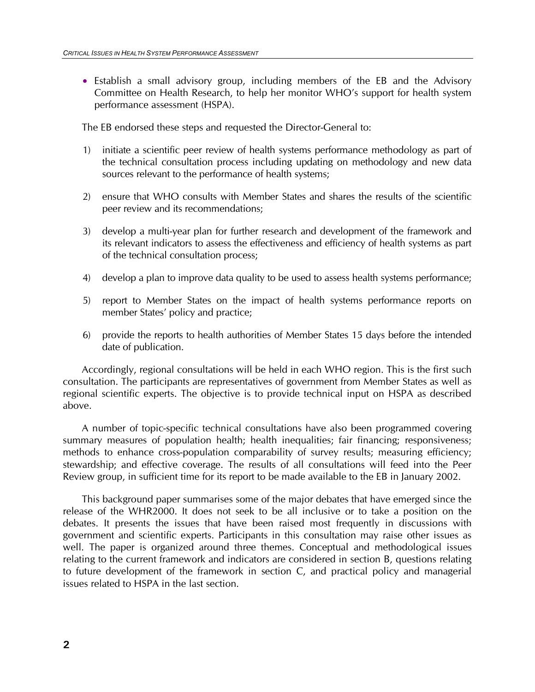• Establish a small advisory group, including members of the EB and the Advisory Committee on Health Research, to help her monitor WHO's support for health system performance assessment (HSPA).

The EB endorsed these steps and requested the Director-General to:

- 1) initiate a scientific peer review of health systems performance methodology as part of the technical consultation process including updating on methodology and new data sources relevant to the performance of health systems;
- 2) ensure that WHO consults with Member States and shares the results of the scientific peer review and its recommendations;
- 3) develop a multi-year plan for further research and development of the framework and its relevant indicators to assess the effectiveness and efficiency of health systems as part of the technical consultation process;
- 4) develop a plan to improve data quality to be used to assess health systems performance;
- 5) report to Member States on the impact of health systems performance reports on member States' policy and practice;
- 6) provide the reports to health authorities of Member States 15 days before the intended date of publication.

Accordingly, regional consultations will be held in each WHO region. This is the first such consultation. The participants are representatives of government from Member States as well as regional scientific experts. The objective is to provide technical input on HSPA as described above.

A number of topic-specific technical consultations have also been programmed covering summary measures of population health; health inequalities; fair financing; responsiveness; methods to enhance cross-population comparability of survey results; measuring efficiency; stewardship; and effective coverage. The results of all consultations will feed into the Peer Review group, in sufficient time for its report to be made available to the EB in January 2002.

This background paper summarises some of the major debates that have emerged since the release of the WHR2000. It does not seek to be all inclusive or to take a position on the debates. It presents the issues that have been raised most frequently in discussions with government and scientific experts. Participants in this consultation may raise other issues as well. The paper is organized around three themes. Conceptual and methodological issues relating to the current framework and indicators are considered in section B, questions relating to future development of the framework in section C, and practical policy and managerial issues related to HSPA in the last section.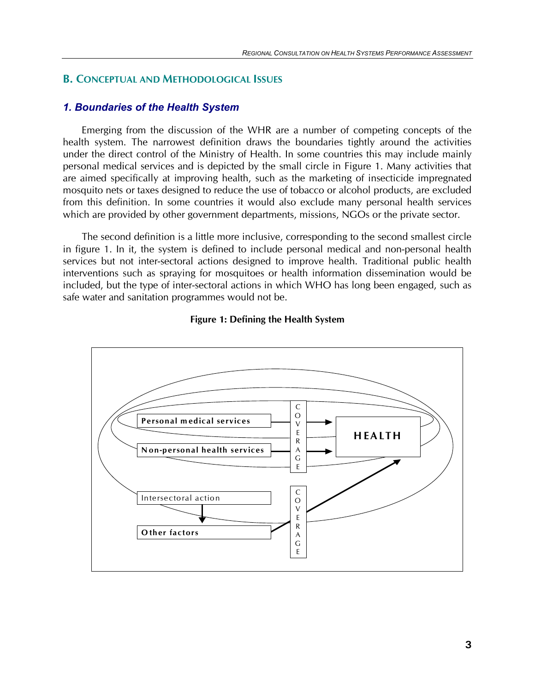#### **B. CONCEPTUAL AND METHODOLOGICAL ISSUES**

#### *1. Boundaries of the Health System*

Emerging from the discussion of the WHR are a number of competing concepts of the health system. The narrowest definition draws the boundaries tightly around the activities under the direct control of the Ministry of Health. In some countries this may include mainly personal medical services and is depicted by the small circle in Figure 1. Many activities that are aimed specifically at improving health, such as the marketing of insecticide impregnated mosquito nets or taxes designed to reduce the use of tobacco or alcohol products, are excluded from this definition. In some countries it would also exclude many personal health services which are provided by other government departments, missions, NGOs or the private sector.

The second definition is a little more inclusive, corresponding to the second smallest circle in figure 1. In it, the system is defined to include personal medical and non-personal health services but not inter-sectoral actions designed to improve health. Traditional public health interventions such as spraying for mosquitoes or health information dissemination would be included, but the type of inter-sectoral actions in which WHO has long been engaged, such as safe water and sanitation programmes would not be.



#### **Figure 1: Defining the Health System**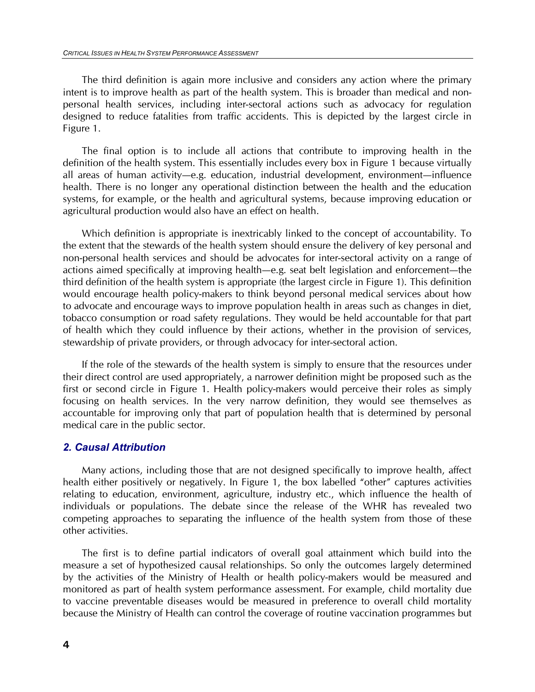The third definition is again more inclusive and considers any action where the primary intent is to improve health as part of the health system. This is broader than medical and nonpersonal health services, including inter-sectoral actions such as advocacy for regulation designed to reduce fatalities from traffic accidents. This is depicted by the largest circle in Figure 1.

The final option is to include all actions that contribute to improving health in the definition of the health system. This essentially includes every box in Figure 1 because virtually all areas of human activity—e.g. education, industrial development, environment—influence health. There is no longer any operational distinction between the health and the education systems, for example, or the health and agricultural systems, because improving education or agricultural production would also have an effect on health.

Which definition is appropriate is inextricably linked to the concept of accountability. To the extent that the stewards of the health system should ensure the delivery of key personal and non-personal health services and should be advocates for inter-sectoral activity on a range of actions aimed specifically at improving health—e.g. seat belt legislation and enforcement—the third definition of the health system is appropriate (the largest circle in Figure 1). This definition would encourage health policy-makers to think beyond personal medical services about how to advocate and encourage ways to improve population health in areas such as changes in diet, tobacco consumption or road safety regulations. They would be held accountable for that part of health which they could influence by their actions, whether in the provision of services, stewardship of private providers, or through advocacy for inter-sectoral action.

If the role of the stewards of the health system is simply to ensure that the resources under their direct control are used appropriately, a narrower definition might be proposed such as the first or second circle in Figure 1. Health policy-makers would perceive their roles as simply focusing on health services. In the very narrow definition, they would see themselves as accountable for improving only that part of population health that is determined by personal medical care in the public sector.

#### *2. Causal Attribution*

Many actions, including those that are not designed specifically to improve health, affect health either positively or negatively. In Figure 1, the box labelled "other" captures activities relating to education, environment, agriculture, industry etc., which influence the health of individuals or populations. The debate since the release of the WHR has revealed two competing approaches to separating the influence of the health system from those of these other activities.

The first is to define partial indicators of overall goal attainment which build into the measure a set of hypothesized causal relationships. So only the outcomes largely determined by the activities of the Ministry of Health or health policy-makers would be measured and monitored as part of health system performance assessment. For example, child mortality due to vaccine preventable diseases would be measured in preference to overall child mortality because the Ministry of Health can control the coverage of routine vaccination programmes but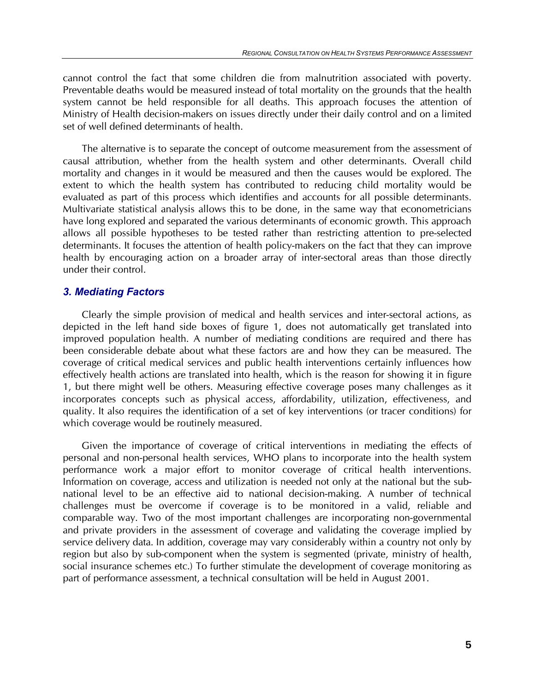cannot control the fact that some children die from malnutrition associated with poverty. Preventable deaths would be measured instead of total mortality on the grounds that the health system cannot be held responsible for all deaths. This approach focuses the attention of Ministry of Health decision-makers on issues directly under their daily control and on a limited set of well defined determinants of health.

The alternative is to separate the concept of outcome measurement from the assessment of causal attribution, whether from the health system and other determinants. Overall child mortality and changes in it would be measured and then the causes would be explored. The extent to which the health system has contributed to reducing child mortality would be evaluated as part of this process which identifies and accounts for all possible determinants. Multivariate statistical analysis allows this to be done, in the same way that econometricians have long explored and separated the various determinants of economic growth. This approach allows all possible hypotheses to be tested rather than restricting attention to pre-selected determinants. It focuses the attention of health policy-makers on the fact that they can improve health by encouraging action on a broader array of inter-sectoral areas than those directly under their control.

#### *3. Mediating Factors*

Clearly the simple provision of medical and health services and inter-sectoral actions, as depicted in the left hand side boxes of figure 1, does not automatically get translated into improved population health. A number of mediating conditions are required and there has been considerable debate about what these factors are and how they can be measured. The coverage of critical medical services and public health interventions certainly influences how effectively health actions are translated into health, which is the reason for showing it in figure 1, but there might well be others. Measuring effective coverage poses many challenges as it incorporates concepts such as physical access, affordability, utilization, effectiveness, and quality. It also requires the identification of a set of key interventions (or tracer conditions) for which coverage would be routinely measured.

Given the importance of coverage of critical interventions in mediating the effects of personal and non-personal health services, WHO plans to incorporate into the health system performance work a major effort to monitor coverage of critical health interventions. Information on coverage, access and utilization is needed not only at the national but the subnational level to be an effective aid to national decision-making. A number of technical challenges must be overcome if coverage is to be monitored in a valid, reliable and comparable way. Two of the most important challenges are incorporating non-governmental and private providers in the assessment of coverage and validating the coverage implied by service delivery data. In addition, coverage may vary considerably within a country not only by region but also by sub-component when the system is segmented (private, ministry of health, social insurance schemes etc.) To further stimulate the development of coverage monitoring as part of performance assessment, a technical consultation will be held in August 2001.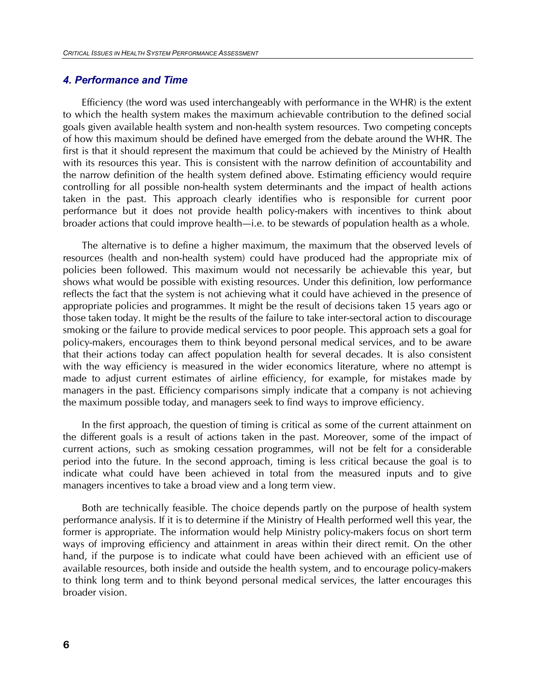#### *4. Performance and Time*

Efficiency (the word was used interchangeably with performance in the WHR) is the extent to which the health system makes the maximum achievable contribution to the defined social goals given available health system and non-health system resources. Two competing concepts of how this maximum should be defined have emerged from the debate around the WHR. The first is that it should represent the maximum that could be achieved by the Ministry of Health with its resources this year. This is consistent with the narrow definition of accountability and the narrow definition of the health system defined above. Estimating efficiency would require controlling for all possible non-health system determinants and the impact of health actions taken in the past. This approach clearly identifies who is responsible for current poor performance but it does not provide health policy-makers with incentives to think about broader actions that could improve health—i.e. to be stewards of population health as a whole.

The alternative is to define a higher maximum, the maximum that the observed levels of resources (health and non-health system) could have produced had the appropriate mix of policies been followed. This maximum would not necessarily be achievable this year, but shows what would be possible with existing resources. Under this definition, low performance reflects the fact that the system is not achieving what it could have achieved in the presence of appropriate policies and programmes. It might be the result of decisions taken 15 years ago or those taken today. It might be the results of the failure to take inter-sectoral action to discourage smoking or the failure to provide medical services to poor people. This approach sets a goal for policy-makers, encourages them to think beyond personal medical services, and to be aware that their actions today can affect population health for several decades. It is also consistent with the way efficiency is measured in the wider economics literature, where no attempt is made to adjust current estimates of airline efficiency, for example, for mistakes made by managers in the past. Efficiency comparisons simply indicate that a company is not achieving the maximum possible today, and managers seek to find ways to improve efficiency.

In the first approach, the question of timing is critical as some of the current attainment on the different goals is a result of actions taken in the past. Moreover, some of the impact of current actions, such as smoking cessation programmes, will not be felt for a considerable period into the future. In the second approach, timing is less critical because the goal is to indicate what could have been achieved in total from the measured inputs and to give managers incentives to take a broad view and a long term view.

Both are technically feasible. The choice depends partly on the purpose of health system performance analysis. If it is to determine if the Ministry of Health performed well this year, the former is appropriate. The information would help Ministry policy-makers focus on short term ways of improving efficiency and attainment in areas within their direct remit. On the other hand, if the purpose is to indicate what could have been achieved with an efficient use of available resources, both inside and outside the health system, and to encourage policy-makers to think long term and to think beyond personal medical services, the latter encourages this broader vision.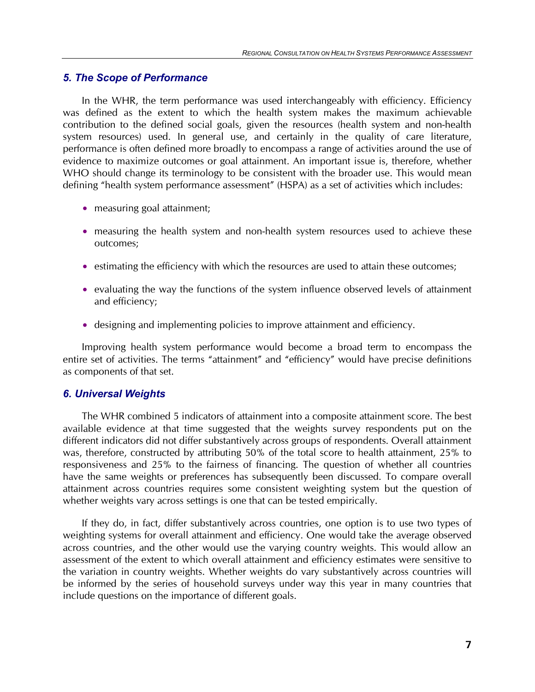#### *5. The Scope of Performance*

In the WHR, the term performance was used interchangeably with efficiency. Efficiency was defined as the extent to which the health system makes the maximum achievable contribution to the defined social goals, given the resources (health system and non-health system resources) used. In general use, and certainly in the quality of care literature, performance is often defined more broadly to encompass a range of activities around the use of evidence to maximize outcomes or goal attainment. An important issue is, therefore, whether WHO should change its terminology to be consistent with the broader use. This would mean defining "health system performance assessment" (HSPA) as a set of activities which includes:

- measuring goal attainment;
- measuring the health system and non-health system resources used to achieve these outcomes;
- estimating the efficiency with which the resources are used to attain these outcomes;
- evaluating the way the functions of the system influence observed levels of attainment and efficiency;
- designing and implementing policies to improve attainment and efficiency.

Improving health system performance would become a broad term to encompass the entire set of activities. The terms "attainment" and "efficiency" would have precise definitions as components of that set.

#### *6. Universal Weights*

The WHR combined 5 indicators of attainment into a composite attainment score. The best available evidence at that time suggested that the weights survey respondents put on the different indicators did not differ substantively across groups of respondents. Overall attainment was, therefore, constructed by attributing 50% of the total score to health attainment, 25% to responsiveness and 25% to the fairness of financing. The question of whether all countries have the same weights or preferences has subsequently been discussed. To compare overall attainment across countries requires some consistent weighting system but the question of whether weights vary across settings is one that can be tested empirically.

If they do, in fact, differ substantively across countries, one option is to use two types of weighting systems for overall attainment and efficiency. One would take the average observed across countries, and the other would use the varying country weights. This would allow an assessment of the extent to which overall attainment and efficiency estimates were sensitive to the variation in country weights. Whether weights do vary substantively across countries will be informed by the series of household surveys under way this year in many countries that include questions on the importance of different goals.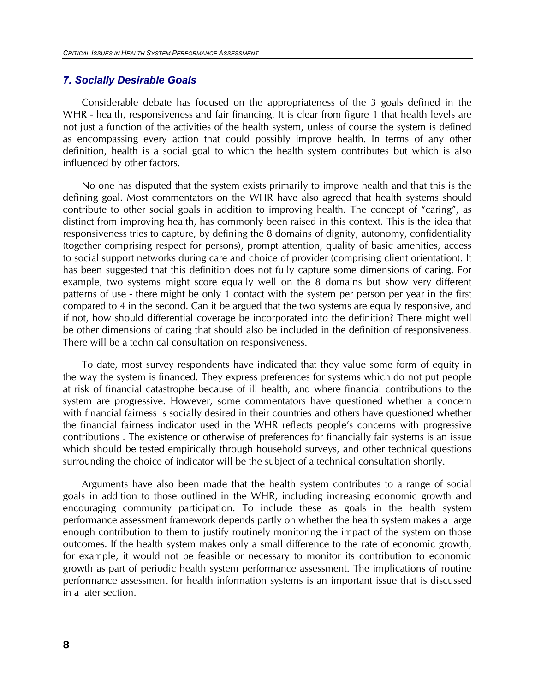#### *7. Socially Desirable Goals*

Considerable debate has focused on the appropriateness of the 3 goals defined in the WHR - health, responsiveness and fair financing. It is clear from figure 1 that health levels are not just a function of the activities of the health system, unless of course the system is defined as encompassing every action that could possibly improve health. In terms of any other definition, health is a social goal to which the health system contributes but which is also influenced by other factors.

No one has disputed that the system exists primarily to improve health and that this is the defining goal. Most commentators on the WHR have also agreed that health systems should contribute to other social goals in addition to improving health. The concept of "caring", as distinct from improving health, has commonly been raised in this context. This is the idea that responsiveness tries to capture, by defining the 8 domains of dignity, autonomy, confidentiality (together comprising respect for persons), prompt attention, quality of basic amenities, access to social support networks during care and choice of provider (comprising client orientation). It has been suggested that this definition does not fully capture some dimensions of caring. For example, two systems might score equally well on the 8 domains but show very different patterns of use - there might be only 1 contact with the system per person per year in the first compared to 4 in the second. Can it be argued that the two systems are equally responsive, and if not, how should differential coverage be incorporated into the definition? There might well be other dimensions of caring that should also be included in the definition of responsiveness. There will be a technical consultation on responsiveness.

To date, most survey respondents have indicated that they value some form of equity in the way the system is financed. They express preferences for systems which do not put people at risk of financial catastrophe because of ill health, and where financial contributions to the system are progressive. However, some commentators have questioned whether a concern with financial fairness is socially desired in their countries and others have questioned whether the financial fairness indicator used in the WHR reflects people's concerns with progressive contributions . The existence or otherwise of preferences for financially fair systems is an issue which should be tested empirically through household surveys, and other technical questions surrounding the choice of indicator will be the subject of a technical consultation shortly.

Arguments have also been made that the health system contributes to a range of social goals in addition to those outlined in the WHR, including increasing economic growth and encouraging community participation. To include these as goals in the health system performance assessment framework depends partly on whether the health system makes a large enough contribution to them to justify routinely monitoring the impact of the system on those outcomes. If the health system makes only a small difference to the rate of economic growth, for example, it would not be feasible or necessary to monitor its contribution to economic growth as part of periodic health system performance assessment. The implications of routine performance assessment for health information systems is an important issue that is discussed in a later section.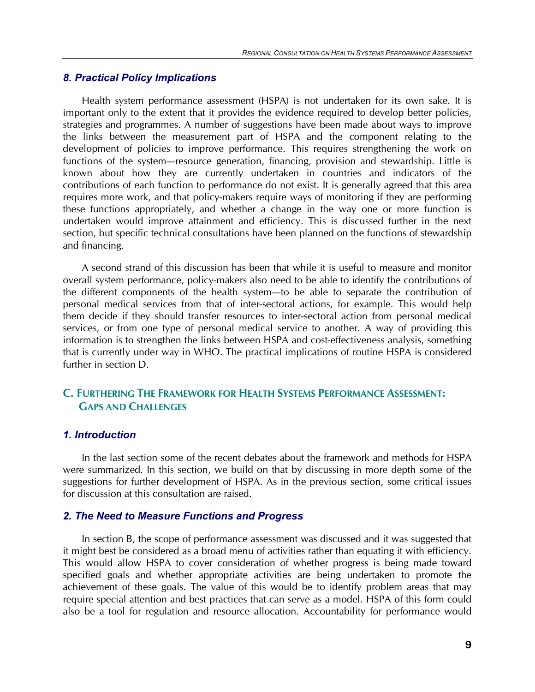#### *8. Practical Policy Implications*

Health system performance assessment (HSPA) is not undertaken for its own sake. It is important only to the extent that it provides the evidence required to develop better policies, strategies and programmes. A number of suggestions have been made about ways to improve the links between the measurement part of HSPA and the component relating to the development of policies to improve performance. This requires strengthening the work on functions of the system—resource generation, financing, provision and stewardship. Little is known about how they are currently undertaken in countries and indicators of the contributions of each function to performance do not exist. It is generally agreed that this area requires more work, and that policy-makers require ways of monitoring if they are performing these functions appropriately, and whether a change in the way one or more function is undertaken would improve attainment and efficiency. This is discussed further in the next section, but specific technical consultations have been planned on the functions of stewardship and financing.

A second strand of this discussion has been that while it is useful to measure and monitor overall system performance, policy-makers also need to be able to identify the contributions of the different components of the health system—to be able to separate the contribution of personal medical services from that of inter-sectoral actions, for example. This would help them decide if they should transfer resources to inter-sectoral action from personal medical services, or from one type of personal medical service to another. A way of providing this information is to strengthen the links between HSPA and cost-effectiveness analysis, something that is currently under way in WHO. The practical implications of routine HSPA is considered further in section D.

# **C. FURTHERING THE FRAMEWORK FOR HEALTH SYSTEMS PERFORMANCE ASSESSMENT: GAPS AND CHALLENGES**

#### *1. Introduction*

In the last section some of the recent debates about the framework and methods for HSPA were summarized. In this section, we build on that by discussing in more depth some of the suggestions for further development of HSPA. As in the previous section, some critical issues for discussion at this consultation are raised.

#### *2. The Need to Measure Functions and Progress*

In section B, the scope of performance assessment was discussed and it was suggested that it might best be considered as a broad menu of activities rather than equating it with efficiency. This would allow HSPA to cover consideration of whether progress is being made toward specified goals and whether appropriate activities are being undertaken to promote the achievement of these goals. The value of this would be to identify problem areas that may require special attention and best practices that can serve as a model. HSPA of this form could also be a tool for regulation and resource allocation. Accountability for performance would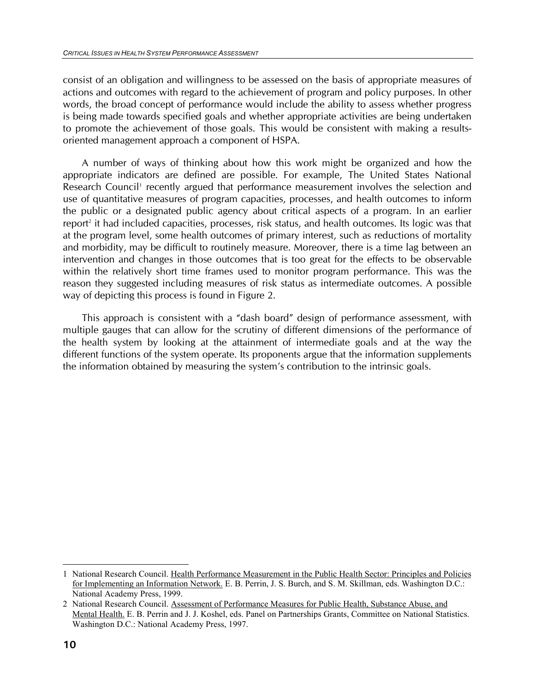consist of an obligation and willingness to be assessed on the basis of appropriate measures of actions and outcomes with regard to the achievement of program and policy purposes. In other words, the broad concept of performance would include the ability to assess whether progress is being made towards specified goals and whether appropriate activities are being undertaken to promote the achievement of those goals. This would be consistent with making a resultsoriented management approach a component of HSPA.

A number of ways of thinking about how this work might be organized and how the appropriate indicators are defined are possible. For example, The United States National Research Council<sup>1</sup> recently argued that performance measurement involves the selection and use of quantitative measures of program capacities, processes, and health outcomes to inform the public or a designated public agency about critical aspects of a program. In an earlier report<sup>2</sup> it had included capacities, processes, risk status, and health outcomes. Its logic was that at the program level, some health outcomes of primary interest, such as reductions of mortality and morbidity, may be difficult to routinely measure. Moreover, there is a time lag between an intervention and changes in those outcomes that is too great for the effects to be observable within the relatively short time frames used to monitor program performance. This was the reason they suggested including measures of risk status as intermediate outcomes. A possible way of depicting this process is found in Figure 2.

This approach is consistent with a "dash board" design of performance assessment, with multiple gauges that can allow for the scrutiny of different dimensions of the performance of the health system by looking at the attainment of intermediate goals and at the way the different functions of the system operate. Its proponents argue that the information supplements the information obtained by measuring the system's contribution to the intrinsic goals.

 $\overline{a}$ 

<sup>1</sup> National Research Council. Health Performance Measurement in the Public Health Sector: Principles and Policies for Implementing an Information Network. E. B. Perrin, J. S. Burch, and S. M. Skillman, eds. Washington D.C.: National Academy Press, 1999.

<sup>2</sup> National Research Council. Assessment of Performance Measures for Public Health, Substance Abuse, and Mental Health. E. B. Perrin and J. J. Koshel, eds. Panel on Partnerships Grants, Committee on National Statistics. Washington D.C.: National Academy Press, 1997.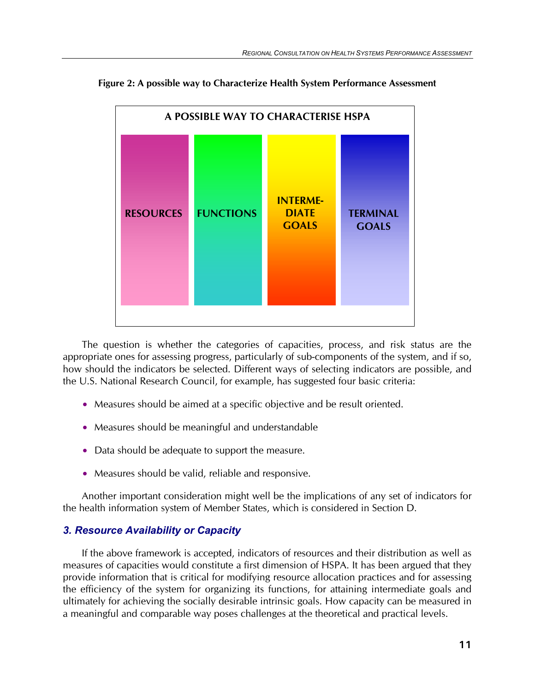

**Figure 2: A possible way to Characterize Health System Performance Assessment**

The question is whether the categories of capacities, process, and risk status are the appropriate ones for assessing progress, particularly of sub-components of the system, and if so, how should the indicators be selected. Different ways of selecting indicators are possible, and the U.S. National Research Council, for example, has suggested four basic criteria:

- Measures should be aimed at a specific objective and be result oriented.
- Measures should be meaningful and understandable
- Data should be adequate to support the measure.
- Measures should be valid, reliable and responsive.

Another important consideration might well be the implications of any set of indicators for the health information system of Member States, which is considered in Section D.

# *3. Resource Availability or Capacity*

If the above framework is accepted, indicators of resources and their distribution as well as measures of capacities would constitute a first dimension of HSPA. It has been argued that they provide information that is critical for modifying resource allocation practices and for assessing the efficiency of the system for organizing its functions, for attaining intermediate goals and ultimately for achieving the socially desirable intrinsic goals. How capacity can be measured in a meaningful and comparable way poses challenges at the theoretical and practical levels.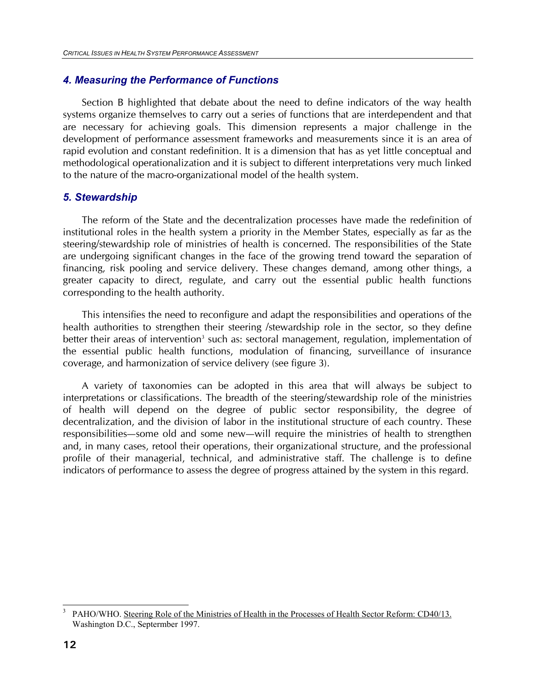#### *4. Measuring the Performance of Functions*

Section B highlighted that debate about the need to define indicators of the way health systems organize themselves to carry out a series of functions that are interdependent and that are necessary for achieving goals. This dimension represents a major challenge in the development of performance assessment frameworks and measurements since it is an area of rapid evolution and constant redefinition. It is a dimension that has as yet little conceptual and methodological operationalization and it is subject to different interpretations very much linked to the nature of the macro-organizational model of the health system.

#### *5. Stewardship*

The reform of the State and the decentralization processes have made the redefinition of institutional roles in the health system a priority in the Member States, especially as far as the steering/stewardship role of ministries of health is concerned. The responsibilities of the State are undergoing significant changes in the face of the growing trend toward the separation of financing, risk pooling and service delivery. These changes demand, among other things, a greater capacity to direct, regulate, and carry out the essential public health functions corresponding to the health authority.

This intensifies the need to reconfigure and adapt the responsibilities and operations of the health authorities to strengthen their steering /stewardship role in the sector, so they define better their areas of intervention<sup>3</sup> such as: sectoral management, regulation, implementation of the essential public health functions, modulation of financing, surveillance of insurance coverage, and harmonization of service delivery (see figure 3).

A variety of taxonomies can be adopted in this area that will always be subject to interpretations or classifications. The breadth of the steering/stewardship role of the ministries of health will depend on the degree of public sector responsibility, the degree of decentralization, and the division of labor in the institutional structure of each country. These responsibilities—some old and some new—will require the ministries of health to strengthen and, in many cases, retool their operations, their organizational structure, and the professional profile of their managerial, technical, and administrative staff. The challenge is to define indicators of performance to assess the degree of progress attained by the system in this regard.

 $\overline{a}$ 

<sup>3</sup> PAHO/WHO. Steering Role of the Ministries of Health in the Processes of Health Sector Reform: CD40/13. Washington D.C., Septermber 1997.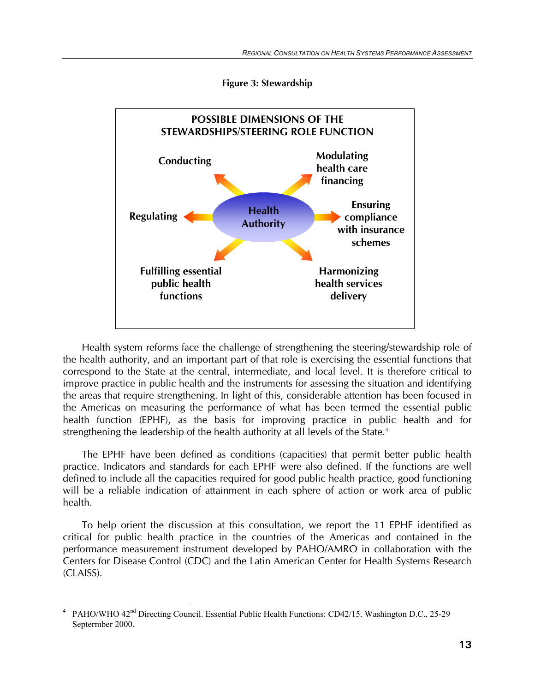**Figure 3: Stewardship**



Health system reforms face the challenge of strengthening the steering/stewardship role of the health authority, and an important part of that role is exercising the essential functions that correspond to the State at the central, intermediate, and local level. It is therefore critical to improve practice in public health and the instruments for assessing the situation and identifying the areas that require strengthening. In light of this, considerable attention has been focused in the Americas on measuring the performance of what has been termed the essential public health function (EPHF), as the basis for improving practice in public health and for strengthening the leadership of the health authority at all levels of the State.<sup>4</sup>

The EPHF have been defined as conditions (capacities) that permit better public health practice. Indicators and standards for each EPHF were also defined. If the functions are well defined to include all the capacities required for good public health practice, good functioning will be a reliable indication of attainment in each sphere of action or work area of public health.

To help orient the discussion at this consultation, we report the 11 EPHF identified as critical for public health practice in the countries of the Americas and contained in the performance measurement instrument developed by PAHO/AMRO in collaboration with the Centers for Disease Control (CDC) and the Latin American Center for Health Systems Research (CLAISS).

 $\overline{a}$ 4 PAHO/WHO 42<sup>nd</sup> Directing Council. Essential Public Health Functions: CD42/15. Washington D.C., 25-29 Septermber 2000.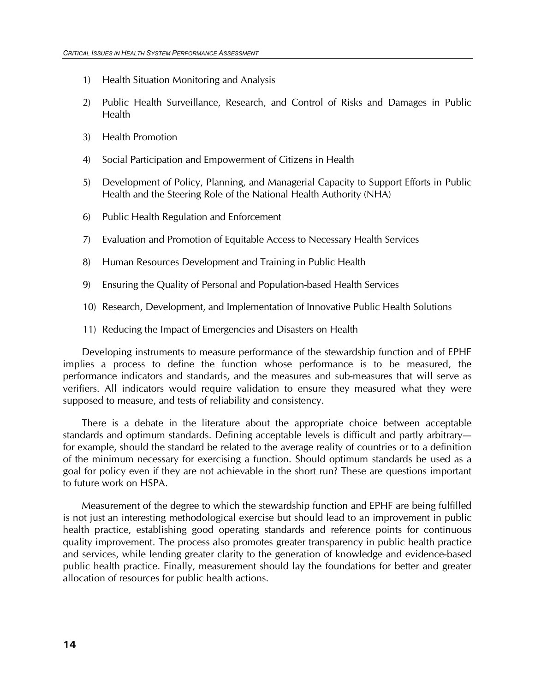- 1) Health Situation Monitoring and Analysis
- 2) Public Health Surveillance, Research, and Control of Risks and Damages in Public Health
- 3) Health Promotion
- 4) Social Participation and Empowerment of Citizens in Health
- 5) Development of Policy, Planning, and Managerial Capacity to Support Efforts in Public Health and the Steering Role of the National Health Authority (NHA)
- 6) Public Health Regulation and Enforcement
- 7) Evaluation and Promotion of Equitable Access to Necessary Health Services
- 8) Human Resources Development and Training in Public Health
- 9) Ensuring the Quality of Personal and Population-based Health Services
- 10) Research, Development, and Implementation of Innovative Public Health Solutions
- 11) Reducing the Impact of Emergencies and Disasters on Health

Developing instruments to measure performance of the stewardship function and of EPHF implies a process to define the function whose performance is to be measured, the performance indicators and standards, and the measures and sub-measures that will serve as verifiers. All indicators would require validation to ensure they measured what they were supposed to measure, and tests of reliability and consistency.

There is a debate in the literature about the appropriate choice between acceptable standards and optimum standards. Defining acceptable levels is difficult and partly arbitrary for example, should the standard be related to the average reality of countries or to a definition of the minimum necessary for exercising a function. Should optimum standards be used as a goal for policy even if they are not achievable in the short run? These are questions important to future work on HSPA.

Measurement of the degree to which the stewardship function and EPHF are being fulfilled is not just an interesting methodological exercise but should lead to an improvement in public health practice, establishing good operating standards and reference points for continuous quality improvement. The process also promotes greater transparency in public health practice and services, while lending greater clarity to the generation of knowledge and evidence-based public health practice. Finally, measurement should lay the foundations for better and greater allocation of resources for public health actions.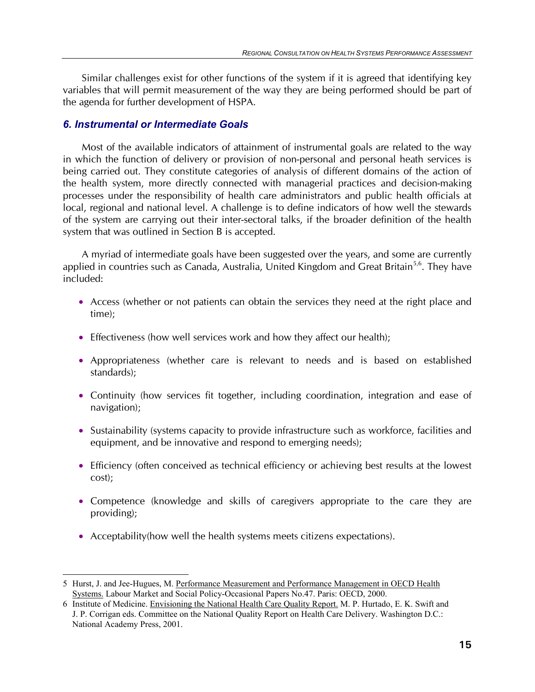Similar challenges exist for other functions of the system if it is agreed that identifying key variables that will permit measurement of the way they are being performed should be part of the agenda for further development of HSPA.

### *6. Instrumental or Intermediate Goals*

Most of the available indicators of attainment of instrumental goals are related to the way in which the function of delivery or provision of non-personal and personal heath services is being carried out. They constitute categories of analysis of different domains of the action of the health system, more directly connected with managerial practices and decision-making processes under the responsibility of health care administrators and public health officials at local, regional and national level. A challenge is to define indicators of how well the stewards of the system are carrying out their inter-sectoral talks, if the broader definition of the health system that was outlined in Section B is accepted.

A myriad of intermediate goals have been suggested over the years, and some are currently applied in countries such as Canada, Australia, United Kingdom and Great Britain<sup>5,6</sup>. They have included:

- Access (whether or not patients can obtain the services they need at the right place and time);
- Effectiveness (how well services work and how they affect our health);
- Appropriateness (whether care is relevant to needs and is based on established standards);
- Continuity (how services fit together, including coordination, integration and ease of navigation);
- Sustainability (systems capacity to provide infrastructure such as workforce, facilities and equipment, and be innovative and respond to emerging needs);
- Efficiency (often conceived as technical efficiency or achieving best results at the lowest cost);
- Competence (knowledge and skills of caregivers appropriate to the care they are providing);
- Acceptability(how well the health systems meets citizens expectations).

 $\overline{\phantom{a}}$ 

<sup>5</sup> Hurst, J. and Jee-Hugues, M. Performance Measurement and Performance Management in OECD Health Systems. Labour Market and Social Policy-Occasional Papers No.47. Paris: OECD, 2000.

<sup>6</sup> Institute of Medicine. Envisioning the National Health Care Quality Report. M. P. Hurtado, E. K. Swift and J. P. Corrigan eds. Committee on the National Quality Report on Health Care Delivery. Washington D.C.: National Academy Press, 2001.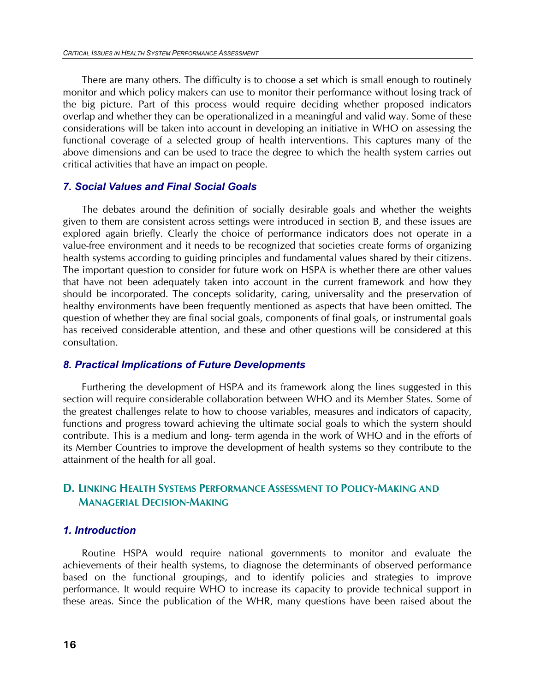There are many others. The difficulty is to choose a set which is small enough to routinely monitor and which policy makers can use to monitor their performance without losing track of the big picture. Part of this process would require deciding whether proposed indicators overlap and whether they can be operationalized in a meaningful and valid way. Some of these considerations will be taken into account in developing an initiative in WHO on assessing the functional coverage of a selected group of health interventions. This captures many of the above dimensions and can be used to trace the degree to which the health system carries out critical activities that have an impact on people.

#### *7. Social Values and Final Social Goals*

The debates around the definition of socially desirable goals and whether the weights given to them are consistent across settings were introduced in section B, and these issues are explored again briefly. Clearly the choice of performance indicators does not operate in a value-free environment and it needs to be recognized that societies create forms of organizing health systems according to guiding principles and fundamental values shared by their citizens. The important question to consider for future work on HSPA is whether there are other values that have not been adequately taken into account in the current framework and how they should be incorporated. The concepts solidarity, caring, universality and the preservation of healthy environments have been frequently mentioned as aspects that have been omitted. The question of whether they are final social goals, components of final goals, or instrumental goals has received considerable attention, and these and other questions will be considered at this consultation.

#### *8. Practical Implications of Future Developments*

Furthering the development of HSPA and its framework along the lines suggested in this section will require considerable collaboration between WHO and its Member States. Some of the greatest challenges relate to how to choose variables, measures and indicators of capacity, functions and progress toward achieving the ultimate social goals to which the system should contribute. This is a medium and long- term agenda in the work of WHO and in the efforts of its Member Countries to improve the development of health systems so they contribute to the attainment of the health for all goal.

# **D. LINKING HEALTH SYSTEMS PERFORMANCE ASSESSMENT TO POLICY-MAKING AND MANAGERIAL DECISION-MAKING**

#### *1. Introduction*

Routine HSPA would require national governments to monitor and evaluate the achievements of their health systems, to diagnose the determinants of observed performance based on the functional groupings, and to identify policies and strategies to improve performance. It would require WHO to increase its capacity to provide technical support in these areas. Since the publication of the WHR, many questions have been raised about the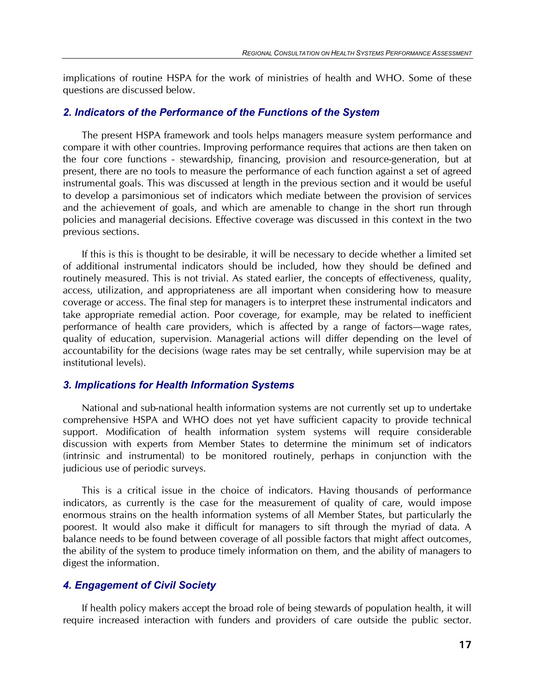implications of routine HSPA for the work of ministries of health and WHO. Some of these questions are discussed below.

#### *2. Indicators of the Performance of the Functions of the System*

The present HSPA framework and tools helps managers measure system performance and compare it with other countries. Improving performance requires that actions are then taken on the four core functions - stewardship, financing, provision and resource-generation, but at present, there are no tools to measure the performance of each function against a set of agreed instrumental goals. This was discussed at length in the previous section and it would be useful to develop a parsimonious set of indicators which mediate between the provision of services and the achievement of goals, and which are amenable to change in the short run through policies and managerial decisions. Effective coverage was discussed in this context in the two previous sections.

If this is this is thought to be desirable, it will be necessary to decide whether a limited set of additional instrumental indicators should be included, how they should be defined and routinely measured. This is not trivial. As stated earlier, the concepts of effectiveness, quality, access, utilization, and appropriateness are all important when considering how to measure coverage or access. The final step for managers is to interpret these instrumental indicators and take appropriate remedial action. Poor coverage, for example, may be related to inefficient performance of health care providers, which is affected by a range of factors—wage rates, quality of education, supervision. Managerial actions will differ depending on the level of accountability for the decisions (wage rates may be set centrally, while supervision may be at institutional levels).

#### *3. Implications for Health Information Systems*

National and sub-national health information systems are not currently set up to undertake comprehensive HSPA and WHO does not yet have sufficient capacity to provide technical support. Modification of health information system systems will require considerable discussion with experts from Member States to determine the minimum set of indicators (intrinsic and instrumental) to be monitored routinely, perhaps in conjunction with the judicious use of periodic surveys.

This is a critical issue in the choice of indicators. Having thousands of performance indicators, as currently is the case for the measurement of quality of care, would impose enormous strains on the health information systems of all Member States, but particularly the poorest. It would also make it difficult for managers to sift through the myriad of data. A balance needs to be found between coverage of all possible factors that might affect outcomes, the ability of the system to produce timely information on them, and the ability of managers to digest the information.

#### *4. Engagement of Civil Society*

If health policy makers accept the broad role of being stewards of population health, it will require increased interaction with funders and providers of care outside the public sector.